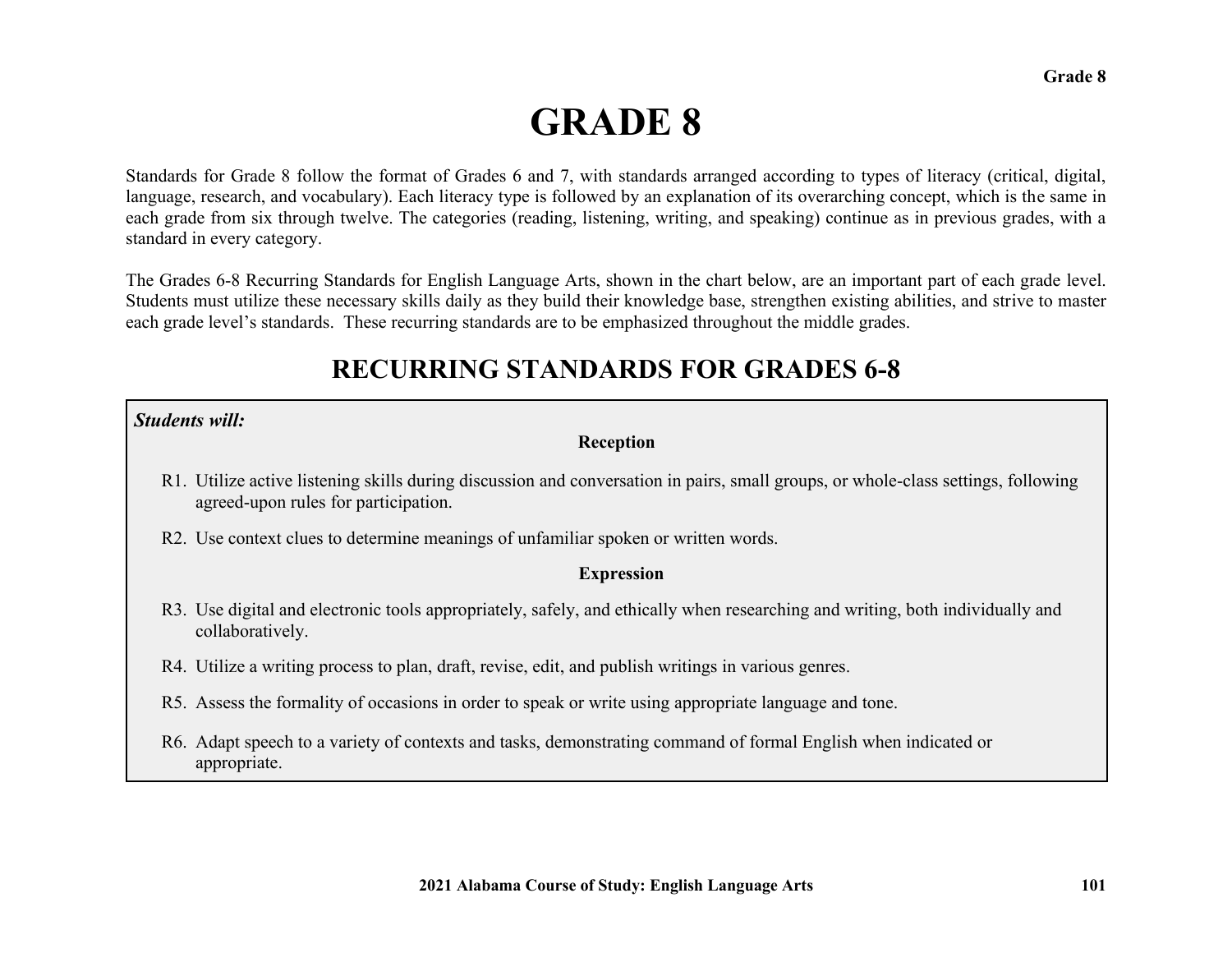# **GRADE 8**

Standards for Grade 8 follow the format of Grades 6 and 7, with standards arranged according to types of literacy (critical, digital, language, research, and vocabulary). Each literacy type is followed by an explanation of its overarching concept, which is the same in each grade from six through twelve. The categories (reading, listening, writing, and speaking) continue as in previous grades, with a standard in every category.

The Grades 6-8 Recurring Standards for English Language Arts, shown in the chart below, are an important part of each grade level. Students must utilize these necessary skills daily as they build their knowledge base, strengthen existing abilities, and strive to master each grade level's standards. These recurring standards are to be emphasized throughout the middle grades.

## **RECURRING STANDARDS FOR GRADES 6-8**

#### *Students will:*

#### **Reception**

- R1. Utilize active listening skills during discussion and conversation in pairs, small groups, or whole-class settings, following agreed-upon rules for participation.
- R2. Use context clues to determine meanings of unfamiliar spoken or written words.

#### **Expression**

- R3. Use digital and electronic tools appropriately, safely, and ethically when researching and writing, both individually and collaboratively.
- R4. Utilize a writing process to plan, draft, revise, edit, and publish writings in various genres.
- R5. Assess the formality of occasions in order to speak or write using appropriate language and tone.
- R6. Adapt speech to a variety of contexts and tasks, demonstrating command of formal English when indicated or appropriate.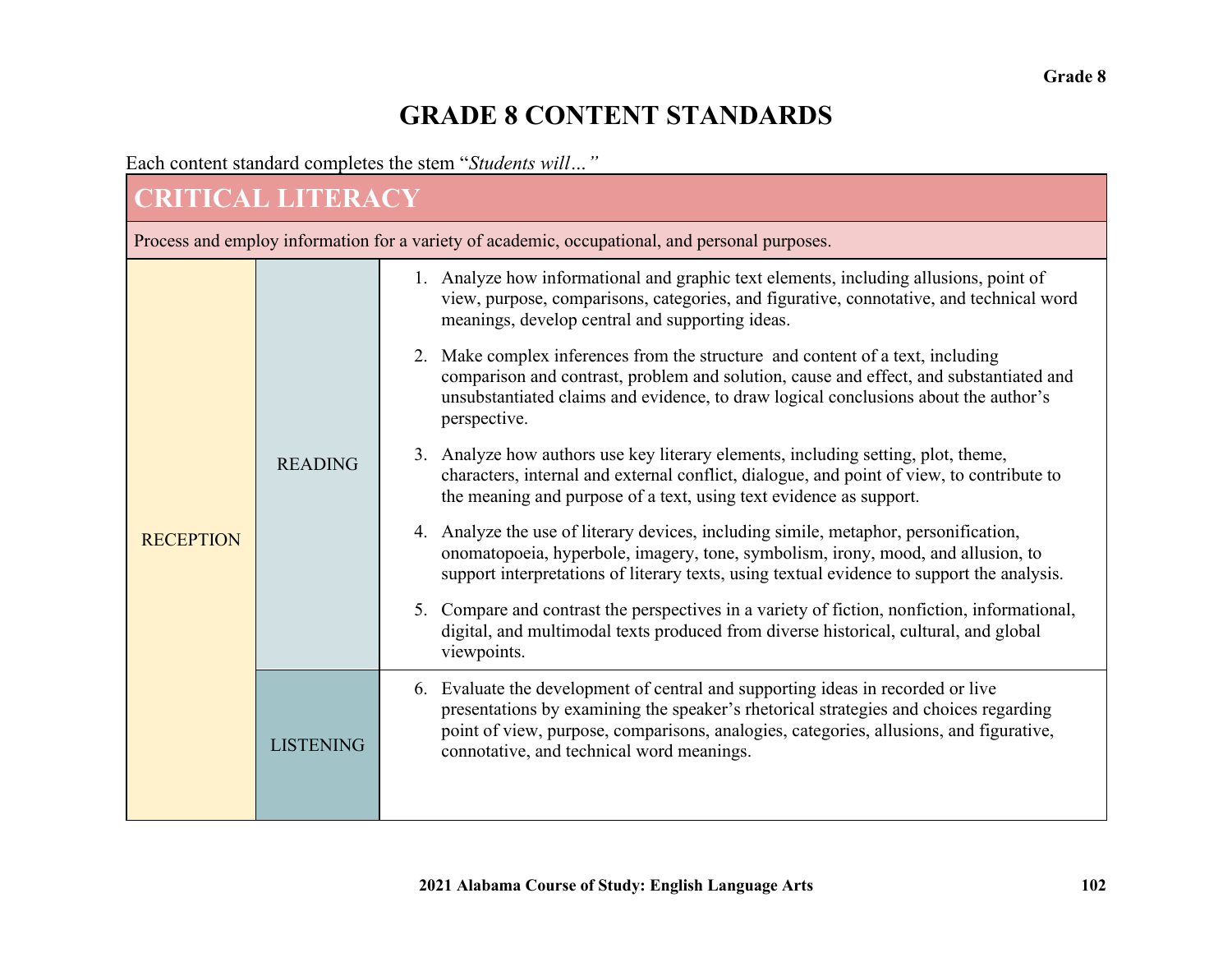# **GRADE 8 CONTENT STANDARDS**

Each content standard completes the stem "*Students will…"* 

# **CRITICAL LITERACY**

Process and employ information for a variety of academic, occupational, and personal purposes.

| <b>RECEPTION</b> | <b>READING</b>   | 1. Analyze how informational and graphic text elements, including allusions, point of<br>view, purpose, comparisons, categories, and figurative, connotative, and technical word<br>meanings, develop central and supporting ideas.                                                                               |
|------------------|------------------|-------------------------------------------------------------------------------------------------------------------------------------------------------------------------------------------------------------------------------------------------------------------------------------------------------------------|
|                  |                  | Make complex inferences from the structure and content of a text, including<br>2.<br>comparison and contrast, problem and solution, cause and effect, and substantiated and<br>unsubstantiated claims and evidence, to draw logical conclusions about the author's<br>perspective.                                |
|                  |                  | 3. Analyze how authors use key literary elements, including setting, plot, theme,<br>characters, internal and external conflict, dialogue, and point of view, to contribute to<br>the meaning and purpose of a text, using text evidence as support.                                                              |
|                  |                  | Analyze the use of literary devices, including simile, metaphor, personification,<br>4.<br>onomatopoeia, hyperbole, imagery, tone, symbolism, irony, mood, and allusion, to<br>support interpretations of literary texts, using textual evidence to support the analysis.                                         |
|                  |                  | Compare and contrast the perspectives in a variety of fiction, nonfiction, informational,<br>5.<br>digital, and multimodal texts produced from diverse historical, cultural, and global<br>viewpoints.                                                                                                            |
|                  | <b>LISTENING</b> | Evaluate the development of central and supporting ideas in recorded or live<br>6.<br>presentations by examining the speaker's rhetorical strategies and choices regarding<br>point of view, purpose, comparisons, analogies, categories, allusions, and figurative,<br>connotative, and technical word meanings. |
|                  |                  |                                                                                                                                                                                                                                                                                                                   |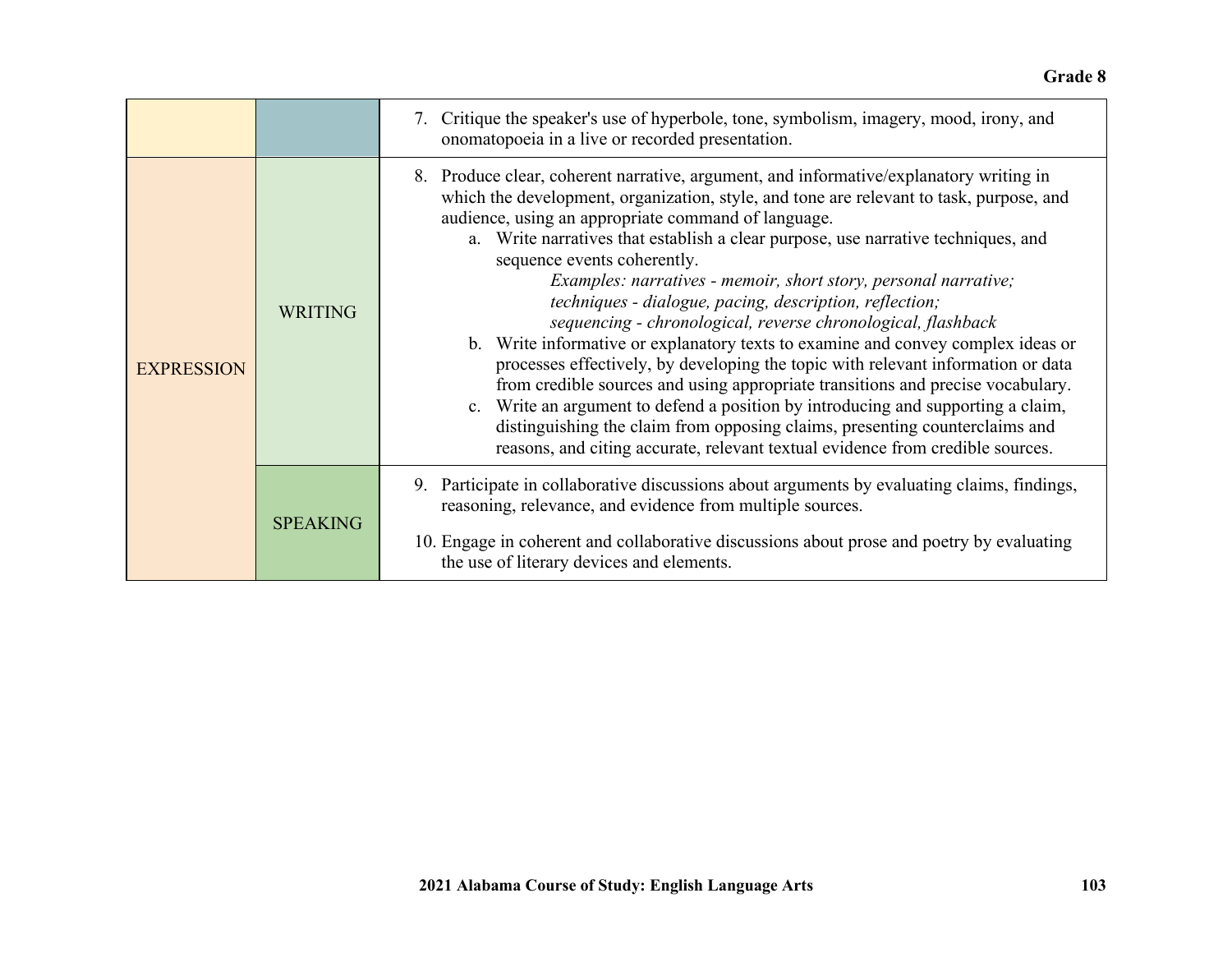#### **Grade 8**

|                   |                 | 7. Critique the speaker's use of hyperbole, tone, symbolism, imagery, mood, irony, and<br>onomatopoeia in a live or recorded presentation.                                                                                                                                                                                                                                                                                                                                                                                                                                                                                                                                                                                                                                                                                                                                                                                                                                                                                                                                 |
|-------------------|-----------------|----------------------------------------------------------------------------------------------------------------------------------------------------------------------------------------------------------------------------------------------------------------------------------------------------------------------------------------------------------------------------------------------------------------------------------------------------------------------------------------------------------------------------------------------------------------------------------------------------------------------------------------------------------------------------------------------------------------------------------------------------------------------------------------------------------------------------------------------------------------------------------------------------------------------------------------------------------------------------------------------------------------------------------------------------------------------------|
| <b>EXPRESSION</b> | <b>WRITING</b>  | 8. Produce clear, coherent narrative, argument, and informative/explanatory writing in<br>which the development, organization, style, and tone are relevant to task, purpose, and<br>audience, using an appropriate command of language.<br>a. Write narratives that establish a clear purpose, use narrative techniques, and<br>sequence events coherently.<br>Examples: narratives - memoir, short story, personal narrative;<br>techniques - dialogue, pacing, description, reflection;<br>sequencing - chronological, reverse chronological, flashback<br>b. Write informative or explanatory texts to examine and convey complex ideas or<br>processes effectively, by developing the topic with relevant information or data<br>from credible sources and using appropriate transitions and precise vocabulary.<br>c. Write an argument to defend a position by introducing and supporting a claim,<br>distinguishing the claim from opposing claims, presenting counterclaims and<br>reasons, and citing accurate, relevant textual evidence from credible sources. |
|                   | <b>SPEAKING</b> | 9. Participate in collaborative discussions about arguments by evaluating claims, findings,<br>reasoning, relevance, and evidence from multiple sources.<br>10. Engage in coherent and collaborative discussions about prose and poetry by evaluating<br>the use of literary devices and elements.                                                                                                                                                                                                                                                                                                                                                                                                                                                                                                                                                                                                                                                                                                                                                                         |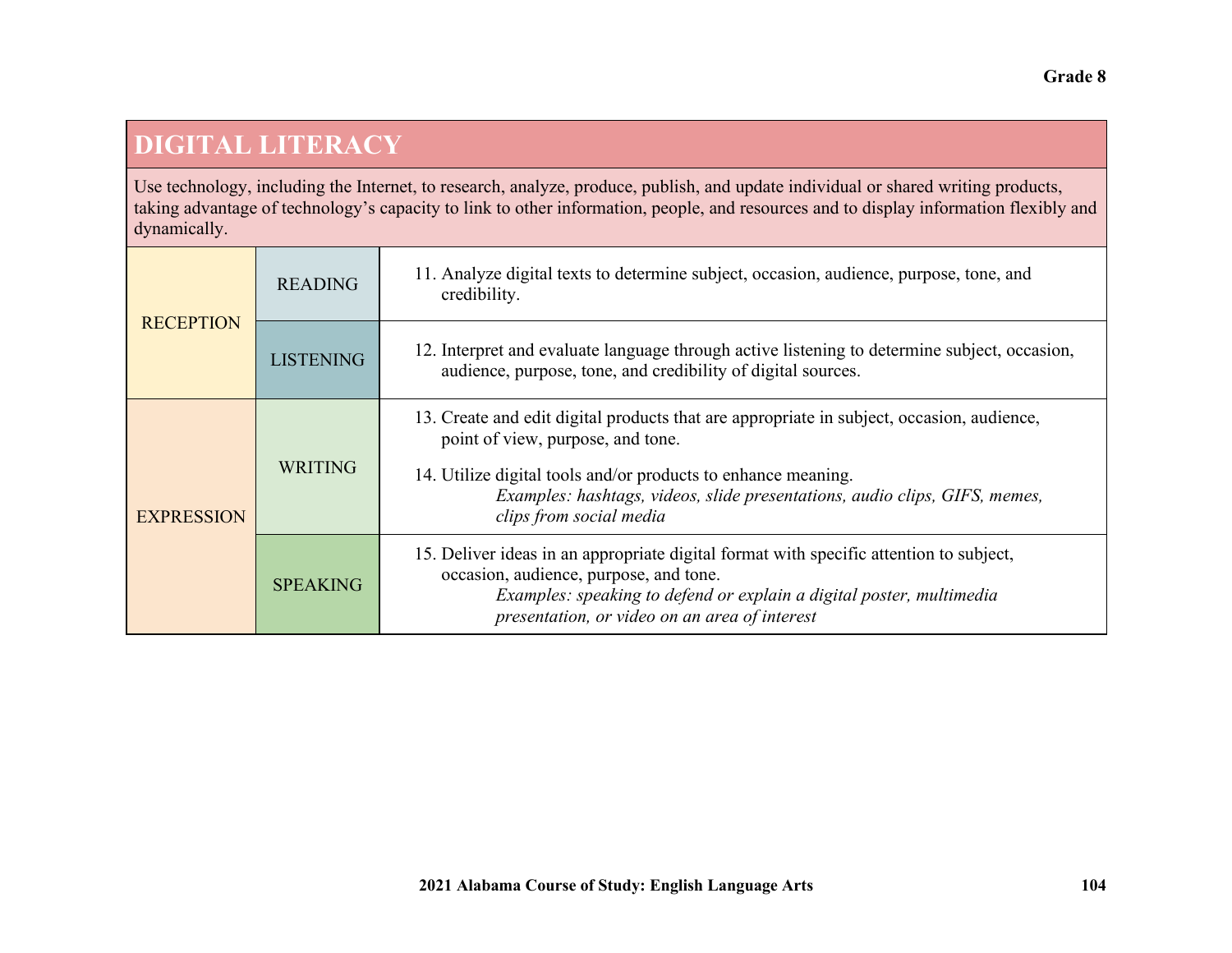### **DIGITAL LITERACY**

Use technology, including the Internet, to research, analyze, produce, publish, and update individual or shared writing products, taking advantage of technology's capacity to link to other information, people, and resources and to display information flexibly and dynamically.

| <b>RECEPTION</b>  | <b>READING</b>   | 11. Analyze digital texts to determine subject, occasion, audience, purpose, tone, and<br>credibility.                                                                                                                                                                                                   |
|-------------------|------------------|----------------------------------------------------------------------------------------------------------------------------------------------------------------------------------------------------------------------------------------------------------------------------------------------------------|
|                   | <b>LISTENING</b> | 12. Interpret and evaluate language through active listening to determine subject, occasion,<br>audience, purpose, tone, and credibility of digital sources.                                                                                                                                             |
| <b>EXPRESSION</b> | <b>WRITING</b>   | 13. Create and edit digital products that are appropriate in subject, occasion, audience,<br>point of view, purpose, and tone.<br>14. Utilize digital tools and/or products to enhance meaning.<br>Examples: hashtags, videos, slide presentations, audio clips, GIFS, memes,<br>clips from social media |
|                   | <b>SPEAKING</b>  | 15. Deliver ideas in an appropriate digital format with specific attention to subject,<br>occasion, audience, purpose, and tone.<br>Examples: speaking to defend or explain a digital poster, multimedia<br>presentation, or video on an area of interest                                                |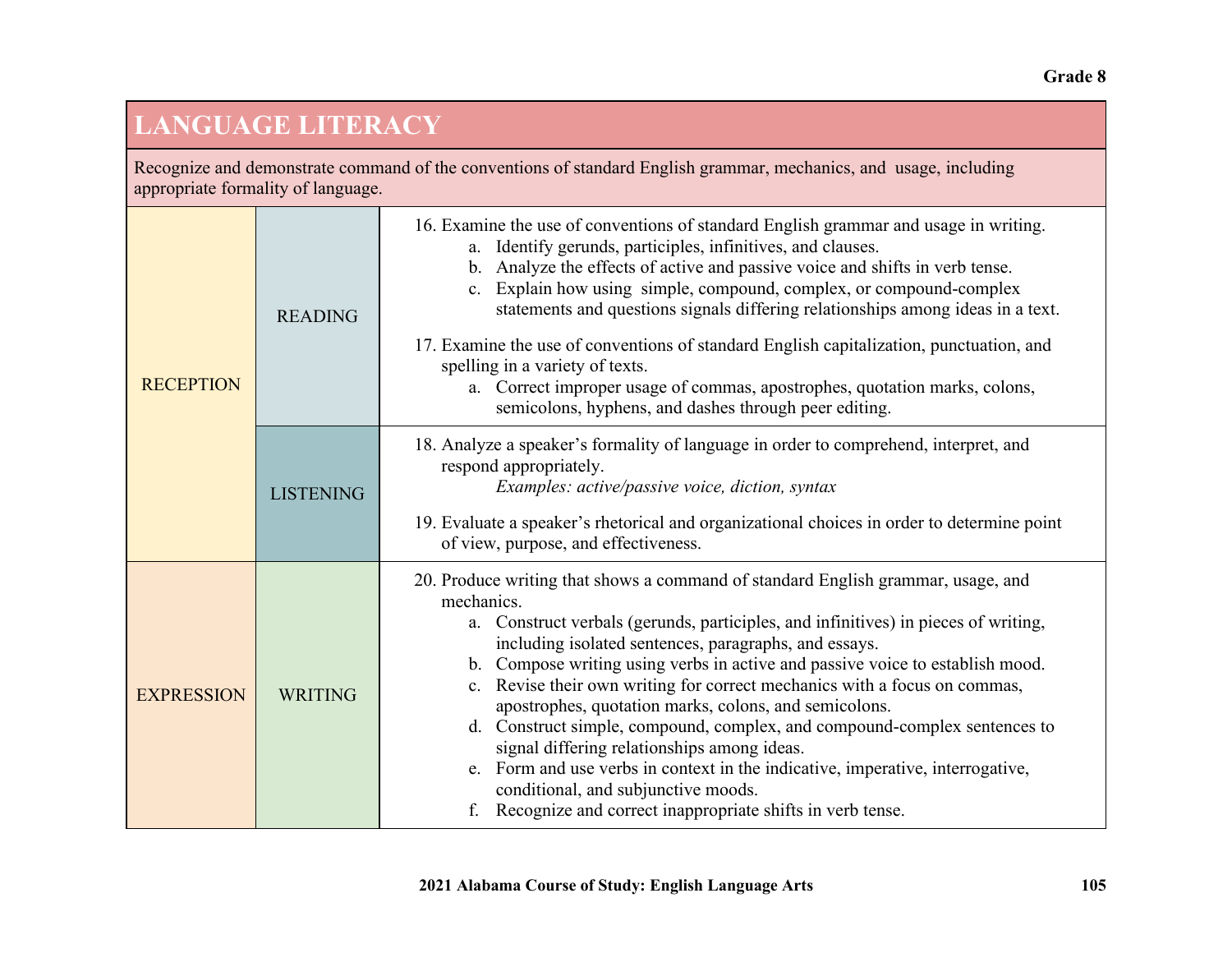# **LANGUAGE LITERACY**

Recognize and demonstrate command of the conventions of standard English grammar, mechanics, and usage, including appropriate formality of language.

| <b>RECEPTION</b>  | <b>READING</b>   | 16. Examine the use of conventions of standard English grammar and usage in writing.<br>Identify gerunds, participles, infinitives, and clauses.<br>a.<br>Analyze the effects of active and passive voice and shifts in verb tense.<br>$\mathbf{b}$ .<br>Explain how using simple, compound, complex, or compound-complex<br>C <sub>1</sub><br>statements and questions signals differing relationships among ideas in a text.<br>17. Examine the use of conventions of standard English capitalization, punctuation, and<br>spelling in a variety of texts.<br>a. Correct improper usage of commas, apostrophes, quotation marks, colons,<br>semicolons, hyphens, and dashes through peer editing.                                                                                    |
|-------------------|------------------|----------------------------------------------------------------------------------------------------------------------------------------------------------------------------------------------------------------------------------------------------------------------------------------------------------------------------------------------------------------------------------------------------------------------------------------------------------------------------------------------------------------------------------------------------------------------------------------------------------------------------------------------------------------------------------------------------------------------------------------------------------------------------------------|
|                   | <b>LISTENING</b> | 18. Analyze a speaker's formality of language in order to comprehend, interpret, and<br>respond appropriately.<br>Examples: active/passive voice, diction, syntax<br>19. Evaluate a speaker's rhetorical and organizational choices in order to determine point<br>of view, purpose, and effectiveness.                                                                                                                                                                                                                                                                                                                                                                                                                                                                                |
| <b>EXPRESSION</b> | <b>WRITING</b>   | 20. Produce writing that shows a command of standard English grammar, usage, and<br>mechanics.<br>a. Construct verbals (gerunds, participles, and infinitives) in pieces of writing,<br>including isolated sentences, paragraphs, and essays.<br>b. Compose writing using verbs in active and passive voice to establish mood.<br>c. Revise their own writing for correct mechanics with a focus on commas,<br>apostrophes, quotation marks, colons, and semicolons.<br>d. Construct simple, compound, complex, and compound-complex sentences to<br>signal differing relationships among ideas.<br>e. Form and use verbs in context in the indicative, imperative, interrogative,<br>conditional, and subjunctive moods.<br>Recognize and correct inappropriate shifts in verb tense. |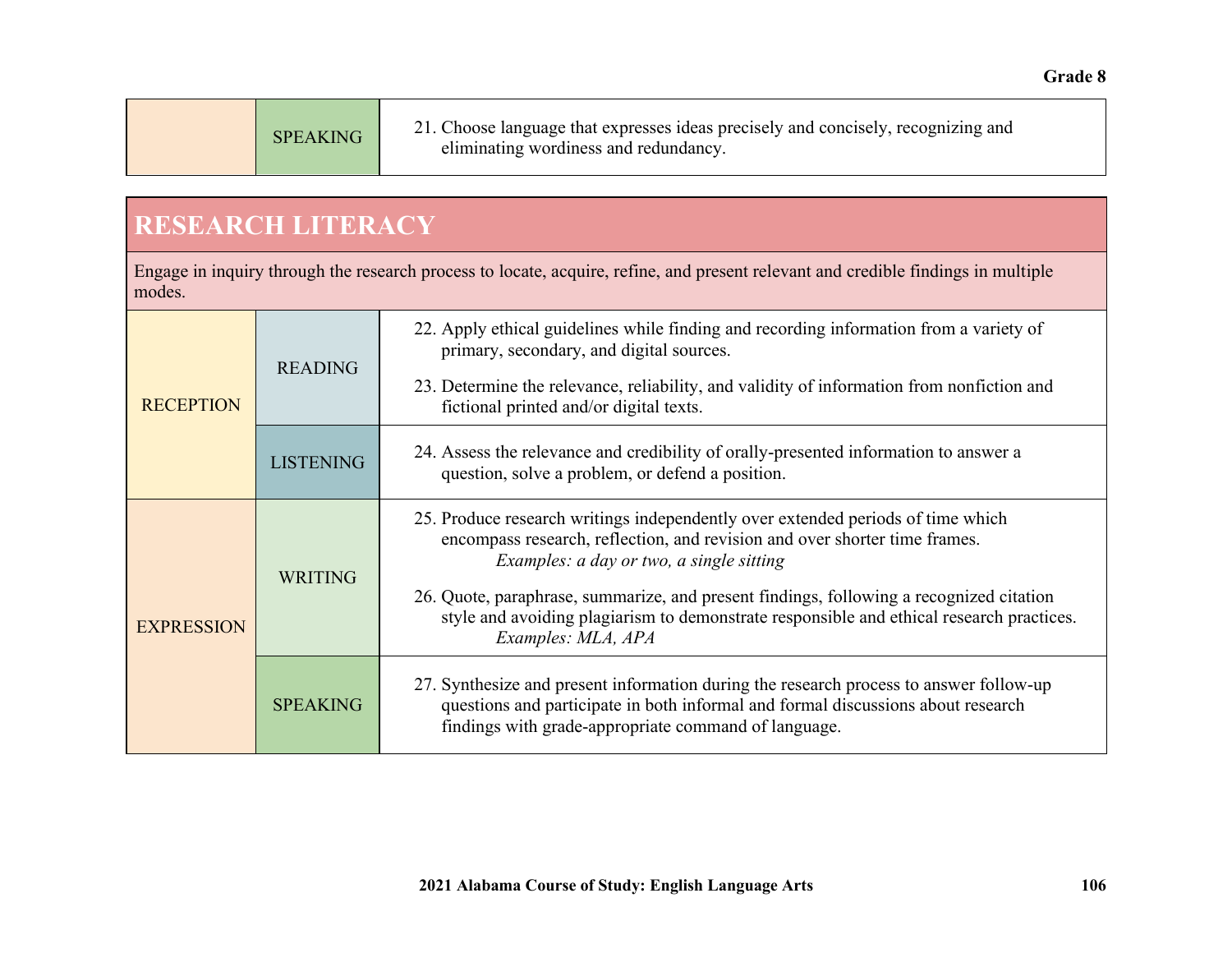## **RESEARCH LITERACY**

Engage in inquiry through the research process to locate, acquire, refine, and present relevant and credible findings in multiple modes.

| <b>RECEPTION</b>  | <b>READING</b>   | 22. Apply ethical guidelines while finding and recording information from a variety of<br>primary, secondary, and digital sources.<br>23. Determine the relevance, reliability, and validity of information from nonfiction and<br>fictional printed and/or digital texts.                                                                                                                                             |
|-------------------|------------------|------------------------------------------------------------------------------------------------------------------------------------------------------------------------------------------------------------------------------------------------------------------------------------------------------------------------------------------------------------------------------------------------------------------------|
|                   | <b>LISTENING</b> | 24. Assess the relevance and credibility of orally-presented information to answer a<br>question, solve a problem, or defend a position.                                                                                                                                                                                                                                                                               |
| <b>EXPRESSION</b> | <b>WRITING</b>   | 25. Produce research writings independently over extended periods of time which<br>encompass research, reflection, and revision and over shorter time frames.<br>Examples: a day or two, a single sitting<br>26. Quote, paraphrase, summarize, and present findings, following a recognized citation<br>style and avoiding plagiarism to demonstrate responsible and ethical research practices.<br>Examples: MLA, APA |
|                   | <b>SPEAKING</b>  | 27. Synthesize and present information during the research process to answer follow-up<br>questions and participate in both informal and formal discussions about research<br>findings with grade-appropriate command of language.                                                                                                                                                                                     |